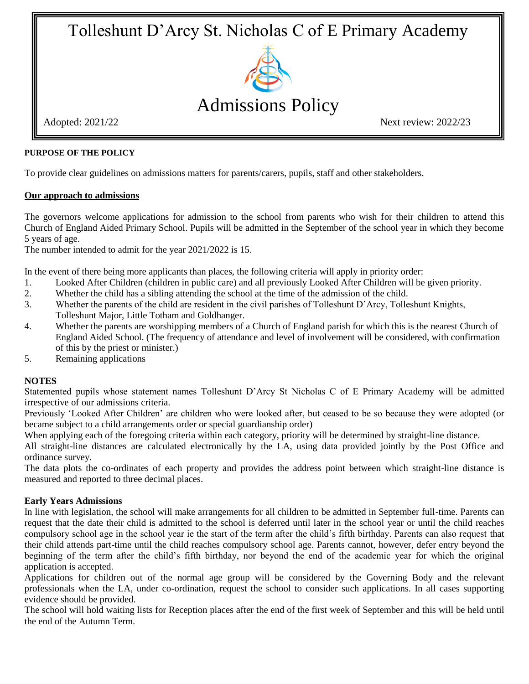# Tolleshunt D'Arcy St. Nicholas C of E Primary Academy



### **PURPOSE OF THE POLICY**

To provide clear guidelines on admissions matters for parents/carers, pupils, staff and other stakeholders.

## **Our approach to admissions**

The governors welcome applications for admission to the school from parents who wish for their children to attend this Church of England Aided Primary School. Pupils will be admitted in the September of the school year in which they become 5 years of age.

The number intended to admit for the year 2021/2022 is 15.

In the event of there being more applicants than places, the following criteria will apply in priority order:

- 1. Looked After Children (children in public care) and all previously Looked After Children will be given priority.
- 2. Whether the child has a sibling attending the school at the time of the admission of the child.
- 3. Whether the parents of the child are resident in the civil parishes of Tolleshunt D'Arcy, Tolleshunt Knights, Tolleshunt Major, Little Totham and Goldhanger.
- 4. Whether the parents are worshipping members of a Church of England parish for which this is the nearest Church of England Aided School. (The frequency of attendance and level of involvement will be considered, with confirmation of this by the priest or minister.)
- 5. Remaining applications

## **NOTES**

Statemented pupils whose statement names Tolleshunt D'Arcy St Nicholas C of E Primary Academy will be admitted irrespective of our admissions criteria.

Previously 'Looked After Children' are children who were looked after, but ceased to be so because they were adopted (or became subject to a child arrangements order or special guardianship order)

When applying each of the foregoing criteria within each category, priority will be determined by straight-line distance.

All straight-line distances are calculated electronically by the LA, using data provided jointly by the Post Office and ordinance survey.

The data plots the co-ordinates of each property and provides the address point between which straight-line distance is measured and reported to three decimal places.

## **Early Years Admissions**

In line with legislation, the school will make arrangements for all children to be admitted in September full-time. Parents can request that the date their child is admitted to the school is deferred until later in the school year or until the child reaches compulsory school age in the school year ie the start of the term after the child's fifth birthday. Parents can also request that their child attends part-time until the child reaches compulsory school age. Parents cannot, however, defer entry beyond the beginning of the term after the child's fifth birthday, nor beyond the end of the academic year for which the original application is accepted.

Applications for children out of the normal age group will be considered by the Governing Body and the relevant professionals when the LA, under co-ordination, request the school to consider such applications. In all cases supporting evidence should be provided.

The school will hold waiting lists for Reception places after the end of the first week of September and this will be held until the end of the Autumn Term.

Adopted: 2021/22 Next review: 2022/23